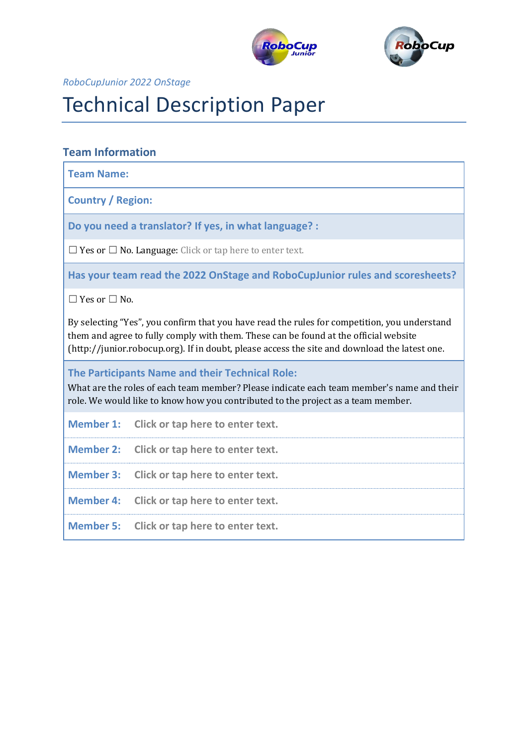



*RoboCupJunior 2022 OnStage*

# Technical Description Paper

# **Team Information**

**Team Name:**

**Country / Region:**

**Do you need a translator? If yes, in what language? :**

 $\Box$  Yes or  $\Box$  No. Language: Click or tap here to enter text.

**Has your team read the 2022 OnStage and RoboCupJunior rules and scoresheets?**

☐ Yes or ☐ No.

By selecting "Yes", you confirm that you have read the rules for competition, you understand them and agree to fully comply with them. These can be found at the official website (http://junior.robocup.org). If in doubt, please access the site and download the latest one.

**The Participants Name and their Technical Role:**

What are the roles of each team member? Please indicate each team member's name and their role. We would like to know how you contributed to the project as a team member.

**Member 1: Click or tap here to enter text.**

**Member 2: Click or tap here to enter text.**

**Member 3: Click or tap here to enter text.**

**Member 4: Click or tap here to enter text.**

**Member 5: Click or tap here to enter text.**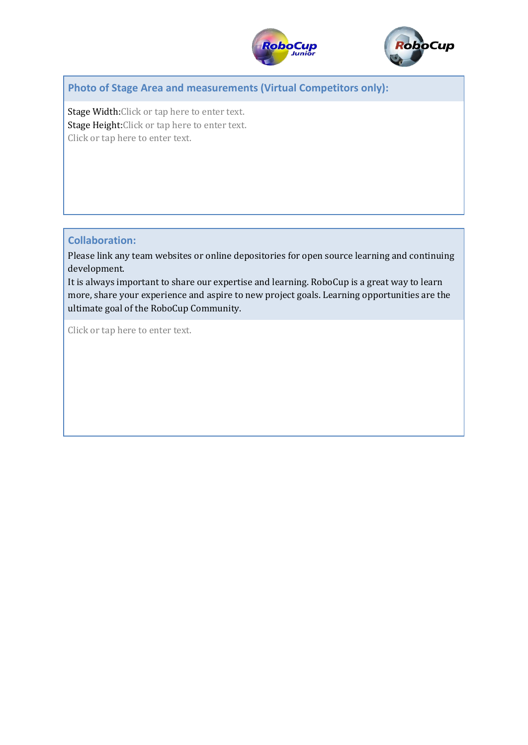



**Photo of Stage Area and measurements (Virtual Competitors only):**

Stage Width:Click or tap here to enter text. Stage Height:Click or tap here to enter text. Click or tap here to enter text.

## **Collaboration:**

Please link any team websites or online depositories for open source learning and continuing development.

It is always important to share our expertise and learning. RoboCup is a great way to learn more, share your experience and aspire to new project goals. Learning opportunities are the ultimate goal of the RoboCup Community.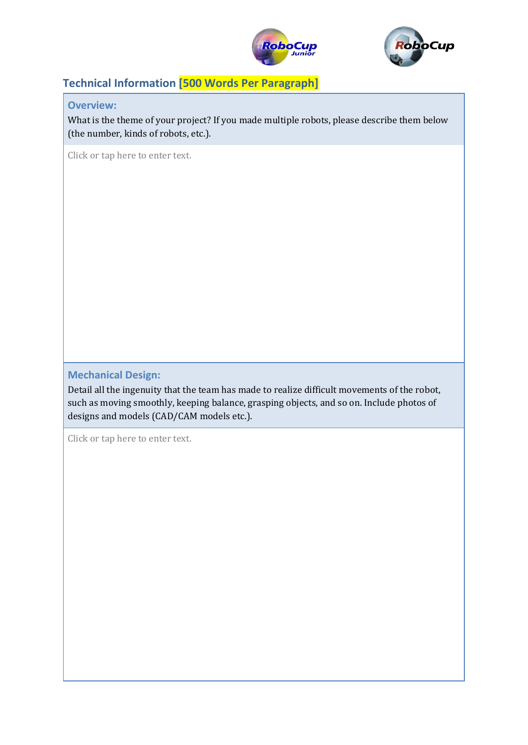



# **Technical Information [500 Words Per Paragraph]**

**Overview:**

What is the theme of your project? If you made multiple robots, please describe them below (the number, kinds of robots, etc.).

Click or tap here to enter text.

## **Mechanical Design:**

Detail all the ingenuity that the team has made to realize difficult movements of the robot, such as moving smoothly, keeping balance, grasping objects, and so on. Include photos of designs and models (CAD/CAM models etc.).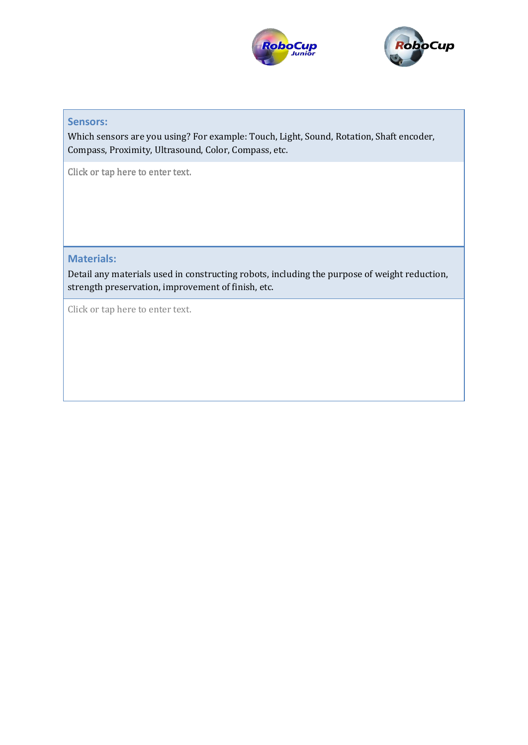



# **Microcontrollers:**

Which sensors are you using? For example: Touch, Light, Sound, Rotation, Shaft encoder, Compass, Proximity, Ultrasound, Color, Compass, etc.

Click or tap here to enter text.

**Materials:**

Detail any materials used in constructing robots, including the purpose of weight reduction, strength preservation, improvement of finish, etc.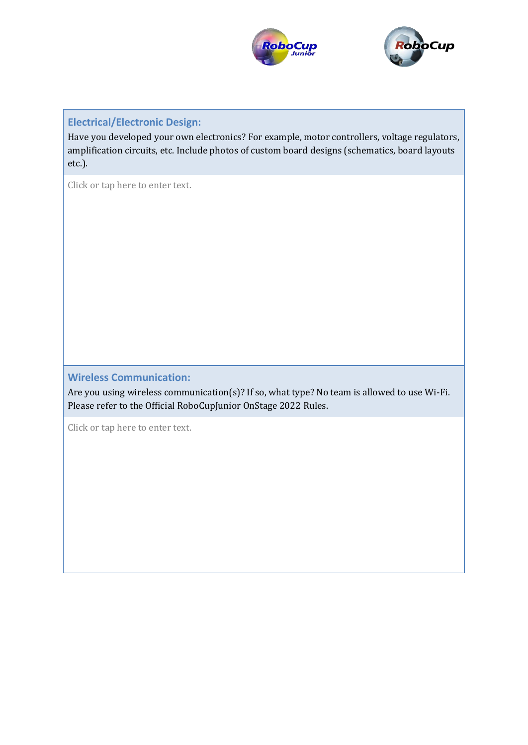



## **Electrical/Electronic Design:**

Have you developed your own electronics? For example, motor controllers, voltage regulators, amplification circuits, etc. Include photos of custom board designs (schematics, board layouts etc.).

Click or tap here to enter text.

## **Wireless Communication:**

Are you using wireless communication(s)? If so, what type? No team is allowed to use Wi-Fi. Please refer to the Official RoboCupJunior OnStage 2022 Rules.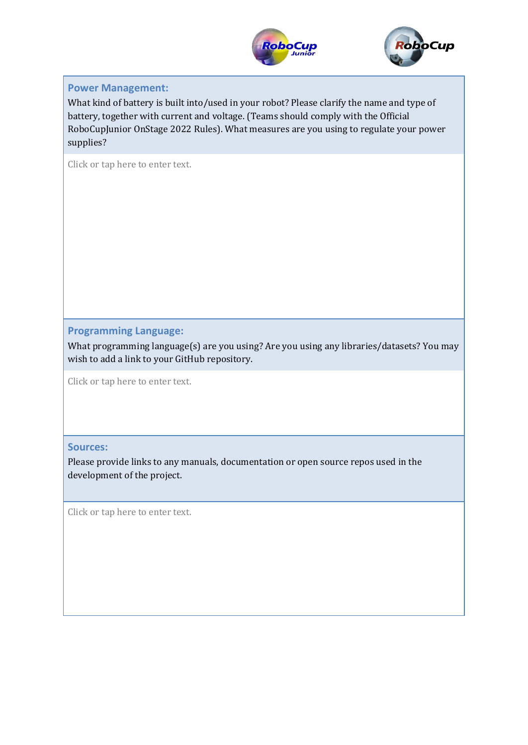



## **Power Management:**

What kind of battery is built into/used in your robot? Please clarify the name and type of battery, together with current and voltage. (Teams should comply with the Official RoboCupJunior OnStage 2022 Rules). What measures are you using to regulate your power supplies?

Click or tap here to enter text.

**Programming Language:**

What programming language(s) are you using? Are you using any libraries/datasets? You may wish to add a link to your GitHub repository.

Click or tap here to enter text.

#### **Sources:**

Please provide links to any manuals, documentation or open source repos used in the development of the project.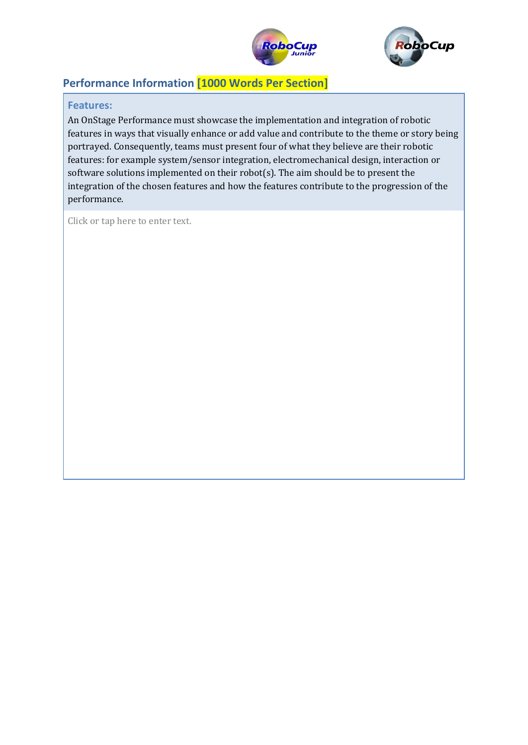



# **Performance Information [1000 Words Per Section]**

## **Features:**

An OnStage Performance must showcase the implementation and integration of robotic features in ways that visually enhance or add value and contribute to the theme or story being portrayed. Consequently, teams must present four of what they believe are their robotic features: for example system/sensor integration, electromechanical design, interaction or software solutions implemented on their robot(s). The aim should be to present the integration of the chosen features and how the features contribute to the progression of the performance.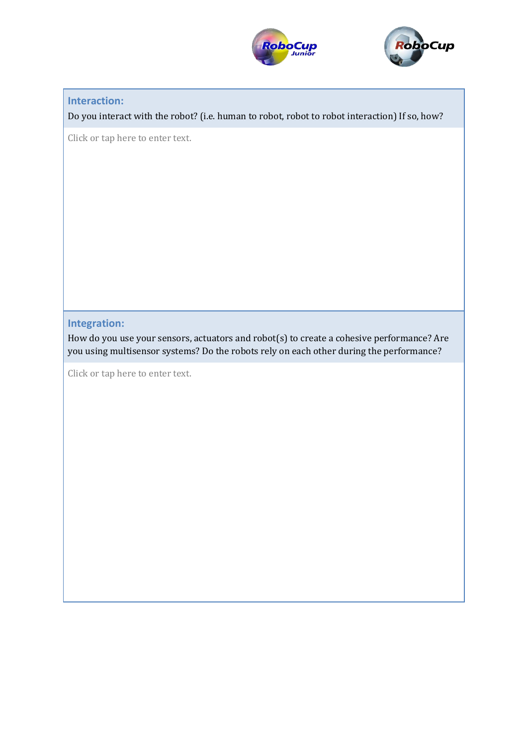



## **Interaction:**

Do you interact with the robot? (i.e. human to robot, robot to robot interaction) If so, how?

Click or tap here to enter text.

## **Integration:**

How do you use your sensors, actuators and robot(s) to create a cohesive performance? Are you using multisensor systems? Do the robots rely on each other during the performance?